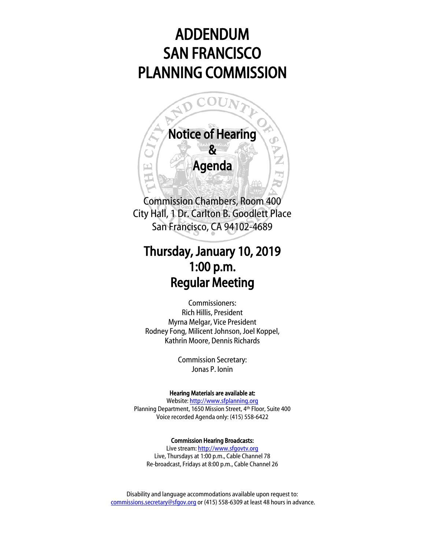# ADDENDUM SAN FRANCISCO PLANNING COMMISSION



## Thursday, January 10, 2019 1:00 p.m. Regular Meeting

Commissioners: Rich Hillis, President Myrna Melgar, Vice President Rodney Fong, Milicent Johnson, Joel Koppel, Kathrin Moore, Dennis Richards

> Commission Secretary: Jonas P. Ionin

#### Hearing Materials are available at:

Website[: http://www.sfplanning.org](http://www.sfplanning.org/) Planning Department, 1650 Mission Street, 4th Floor, Suite 400 Voice recorded Agenda only: (415) 558-6422

#### Commission Hearing Broadcasts:

Live stream: [http://www.sfgovtv.org](http://www.sfgovtv.org/) Live, Thursdays at 1:00 p.m., Cable Channel 78 Re-broadcast, Fridays at 8:00 p.m., Cable Channel 26

Disability and language accommodations available upon request to: [commissions.secretary@sfgov.org](mailto:commissions.secretary@sfgov.org) or (415) 558-6309 at least 48 hours in advance.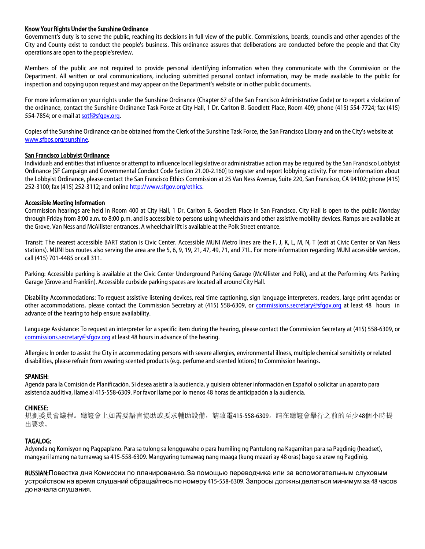#### Know Your Rights Under the Sunshine Ordinance

Government's duty is to serve the public, reaching its decisions in full view of the public. Commissions, boards, councils and other agencies of the City and County exist to conduct the people's business. This ordinance assures that deliberations are conducted before the people and that City operations are open to the people'sreview.

Members of the public are not required to provide personal identifying information when they communicate with the Commission or the Department. All written or oral communications, including submitted personal contact information, may be made available to the public for inspection and copying upon request and may appear on the Department's website or in other public documents.

For more information on your rights under the Sunshine Ordinance (Chapter 67 of the San Francisco Administrative Code) or to report a violation of the ordinance, contact the Sunshine Ordinance Task Force at City Hall, 1 Dr. Carlton B. Goodlett Place, Room 409; phone (415) 554-7724; fax (415) 554-7854; or e-mail at [sotf@sfgov.org.](mailto:sotf@sfgov.org)

Copies of the Sunshine Ordinance can be obtained from the Clerk of the Sunshine Task Force, the San Francisco Library and on the City's website at [www.sfbos.org/sunshine.](http://www.sfbos.org/sunshine)

#### San Francisco Lobbyist Ordinance

Individuals and entities that influence or attempt to influence local legislative or administrative action may be required by the San Francisco Lobbyist Ordinance [SF Campaign and Governmental Conduct Code Section 21.00-2.160] to register and report lobbying activity. For more information about the Lobbyist Ordinance, please contact the San Francisco Ethics Commission at 25 Van Ness Avenue, Suite 220, San Francisco, CA 94102; phone (415) 252-3100; fax (415) 252-3112; and onlin[e http://www.sfgov.org/ethics.](http://www.sfgov.org/ethics)

#### Accessible Meeting Information

Commission hearings are held in Room 400 at City Hall, 1 Dr. Carlton B. Goodlett Place in San Francisco. City Hall is open to the public Monday through Friday from 8:00 a.m. to 8:00 p.m. and is accessible to persons using wheelchairs and other assistive mobility devices. Ramps are available at the Grove, Van Ness and McAllister entrances. A wheelchair lift is available at the Polk Street entrance.

Transit: The nearest accessible BART station is Civic Center. Accessible MUNI Metro lines are the F, J, K, L, M, N, T (exit at Civic Center or Van Ness stations). MUNI bus routes also serving the area are the 5, 6, 9, 19, 21, 47, 49, 71, and 71L. For more information regarding MUNI accessible services, call (415) 701-4485 or call 311.

Parking: Accessible parking is available at the Civic Center Underground Parking Garage (McAllister and Polk), and at the Performing Arts Parking Garage (Grove and Franklin). Accessible curbside parking spaces are located all around City Hall.

Disability Accommodations: To request assistive listening devices, real time captioning, sign language interpreters, readers, large print agendas or other accommodations, please contact the Commission Secretary at (415) 558-6309, or [commissions.secretary@sfgov.org](mailto:commissions.secretary@sfgov.org) at least 48 hours in advance of the hearing to help ensure availability.

Language Assistance: To request an interpreter for a specific item during the hearing, please contact the Commission Secretary at (415) 558-6309, or [commissions.secretary@sfgov.org](mailto:commissions.secretary@sfgov.org) at least 48 hours in advance of the hearing.

Allergies: In order to assist the City in accommodating persons with severe allergies, environmental illness, multiple chemical sensitivity or related disabilities, please refrain from wearing scented products (e.g. perfume and scented lotions) to Commission hearings.

#### SPANISH:

Agenda para la Comisión de Planificación. Si desea asistir a la audiencia, y quisiera obtener información en Español o solicitar un aparato para asistencia auditiva, llame al 415-558-6309. Por favor llame por lo menos 48 horas de anticipación a la audiencia.

#### CHINESE:

規劃委員會議程。聽證會上如需要語言協助或要求輔助設備,請致電415-558-6309。請在聽證會舉行之前的至少48個小時提 出要求。

#### TAGALOG:

Adyenda ng Komisyon ng Pagpaplano. Para sa tulong sa lengguwahe o para humiling ng Pantulong na Kagamitan para sa Pagdinig (headset), mangyari lamang na tumawag sa 415-558-6309. Mangyaring tumawag nang maaga (kung maaari ay 48 oras) bago sa araw ng Pagdinig.

RUSSIAN:Повестка дня Комиссии по планированию. За помощью переводчика или за вспомогательным слуховым устройствомна время слушаний обращайтесь по номеру 415-558-6309. Запросы должны делатьсяминимумза 48 часов до начала слушания.